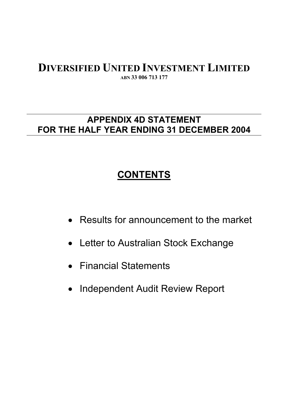## **DIVERSIFIED UNITED INVESTMENT LIMITED ABN 33 006 713 177**

## **APPENDIX 4D STATEMENT FOR THE HALF YEAR ENDING 31 DECEMBER 2004**

# **CONTENTS**

- Results for announcement to the market
- Letter to Australian Stock Exchange
- Financial Statements
- $\bullet$ Independent Audit Review Report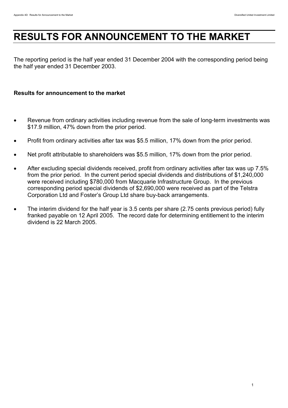# **RESULTS FOR ANNOUNCEMENT TO THE MARKET**

The reporting period is the half year ended 31 December 2004 with the corresponding period being the half year ended 31 December 2003.

#### **Results for announcement to the market**

- Revenue from ordinary activities including revenue from the sale of long-term investments was \$17.9 million, 47% down from the prior period.
- Profit from ordinary activities after tax was \$5.5 million, 17% down from the prior period.
- Net profit attributable to shareholders was \$5.5 million, 17% down from the prior period.
- After excluding special dividends received, profit from ordinary activities after tax was up 7.5% from the prior period. In the current period special dividends and distributions of \$1,240,000 were received including \$780,000 from Macquarie Infrastructure Group. In the previous corresponding period special dividends of \$2,690,000 were received as part of the Telstra Corporation Ltd and Foster's Group Ltd share buy-back arrangements.
- The interim dividend for the half year is 3.5 cents per share (2.75 cents previous period) fully franked payable on 12 April 2005. The record date for determining entitlement to the interim dividend is 22 March 2005.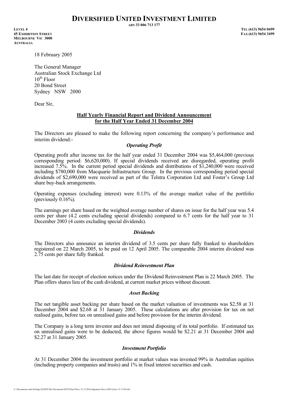**ABN 33 006 713 177**

**LEVEL 4 TEL (613) 9654 0499 45 EXHIBITION STREET FAX (613) 9654 3499 MELBOURNE VIC 3000 AUSTRALIA**

18 February 2005

The General Manager Australian Stock Exchange Ltd  $10^{th}$  Floor 20 Bond Street Sydney NSW 2000

Dear Sir,

#### **Half Yearly Financial Report and Dividend Announcement for the Half Year Ended 31 December 2004**

The Directors are pleased to make the following report concerning the company's performance and interim dividend:-

#### *Operating Profit*

Operating profit after income tax for the half year ended 31 December 2004 was \$5,464,000 (previous corresponding period: \$6,620,000). If special dividends received are disregarded, operating profit increased 7.5%. In the current period special dividends and distributions of \$1,240,000 were received including \$780,000 from Macquarie Infrastructure Group. In the previous corresponding period special dividends of \$2,690,000 were received as part of the Telstra Corporation Ltd and Foster's Group Ltd share buy-back arrangements.

Operating expenses (excluding interest) were 0.13% of the average market value of the portfolio  $($ previously  $0.16\%$ ).

The earnings per share based on the weighted average number of shares on issue for the half year was 5.4 cents per share (4.2 cents excluding special dividends) compared to 6.7 cents for the half year to 31 December 2003 (4 cents excluding special dividends).

#### *Dividends*

The Directors also announce an interim dividend of 3.5 cents per share fully franked to shareholders registered on 22 March 2005, to be paid on 12 April 2005. The comparable 2004 interim dividend was 2.75 cents per share fully franked.

#### *Dividend Reinvestment Plan*

The last date for receipt of election notices under the Dividend Reinvestment Plan is 22 March 2005. The Plan offers shares lieu of the cash dividend, at current market prices without discount.

#### *Asset Backing*

The net tangible asset backing per share based on the market valuation of investments was \$2.58 at 31 December 2004 and \$2.68 at  $31$  January 2005. These calculations are after provision for tax on net realised gains, before tax on unrealised gains and before provision for the interim dividend.

The Company is a long term investor and does not intend disposing of its total portfolio. If estimated tax on unrealised gains were to be deducted, the above figures would be \$2.21 at 31 December 2004 and \$2.27 at 31 January 2005.

#### *Investment Portfolio*

At 31 December 2004 the investment portfolio at market values was invested 99% in Australian equities (including property companies and trusts) and 1% in fixed interest securities and cash.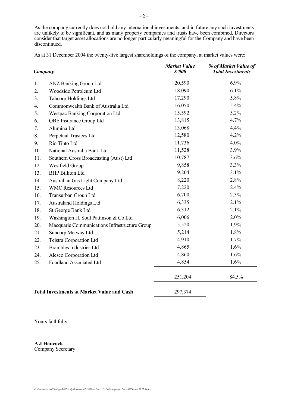As the company currently does not hold any international investments, and in future any such investments are unlikely to be significant, and as many property companies and trusts have been combined, Directors consider that target asset allocations are no longer particularly meaningful for the Company and have been discontinued.

As at 31 December 2004 the twenty-five largest shareholdings of the company, at market values were:

| Company |                                                   | <b>Market Value</b><br>\$2000 | % of Market Value of<br><b>Total Investments</b> |
|---------|---------------------------------------------------|-------------------------------|--------------------------------------------------|
| 1.      | <b>ANZ Banking Group Ltd</b>                      | 20,590                        | 6.9%                                             |
| 2.      | Woodside Petroleum Ltd                            | 18,090                        | 6.1%                                             |
| 3.      | <b>Tabcorp Holdings Ltd</b>                       | 17,290                        | 5.8%                                             |
| 4.      | Commonwealth Bank of Australia Ltd                | 16,050                        | 5.4%                                             |
| 5.      | Westpac Banking Corporation Ltd                   | 15,592                        | 5.2%                                             |
| 6.      | QBE Insurance Group Ltd                           | 13,815                        | 4.7%                                             |
| 7.      | Alumina Ltd                                       | 13,068                        | 4.4%                                             |
| 8.      | Perpetual Trustees Ltd                            | 12,580                        | 4.2%                                             |
| 9.      | Rio Tinto Ltd                                     | 11,736                        | 4.0%                                             |
| 10.     | National Australia Bank Ltd                       | 11,528                        | 3.9%                                             |
| 11.     | Southern Cross Broadcasting (Aust) Ltd            | 10,787                        | 3.6%                                             |
| 12.     | Westfield Group                                   | 9,858                         | 3.3%                                             |
| 13.     | <b>BHP Billiton Ltd</b>                           | 9,204                         | 3.1%                                             |
| 14.     | Australian Gas Light Company Ltd                  | 8,220                         | 2.8%                                             |
| 15.     | <b>WMC Resources Ltd</b>                          | 7,220                         | 2.4%                                             |
| 16.     | Transurban Group Ltd                              | 6,700                         | 2.3%                                             |
| 17.     | <b>Australand Holdings Ltd</b>                    | 6,335                         | 2.1%                                             |
| 18.     | St George Bank Ltd                                | 6,312                         | 2.1%                                             |
| 19.     | Washington H. Soul Pattinson & Co Ltd             | 6,006                         | 2.0%                                             |
| 20.     | Macquarie Communications Infrastructure Group     | 5,520                         | 1.9%                                             |
| 21.     | Suncorp Metway Ltd                                | 5,214                         | 1.8%                                             |
| 22.     | Telstra Corporation Ltd                           | 4,910                         | 1.7%                                             |
| 23.     | <b>Brambles Industries Ltd</b>                    | 4,865                         | 1.6%                                             |
| 24.     | Alesco Corporation Ltd                            | 4,860                         | 1.6%                                             |
| 25.     | Foodland Associated Ltd                           | 4,854                         | 1.6%                                             |
|         |                                                   | 251,204                       | 84.5%                                            |
|         | <b>Total Investments at Market Value and Cash</b> | 297,374                       |                                                  |

Yours faithfully

**A J Hancock** Company Secretary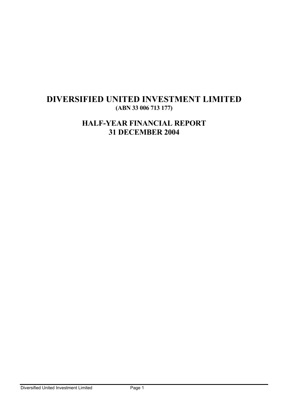## **DIVERSIFIED UNITED INVESTMENT LIMITED (ABN 33 006 713 177)**

## **HALF-YEAR FINANCIAL REPORT 31 DECEMBER 2004**

Diversified United Investment Limited **Page 1**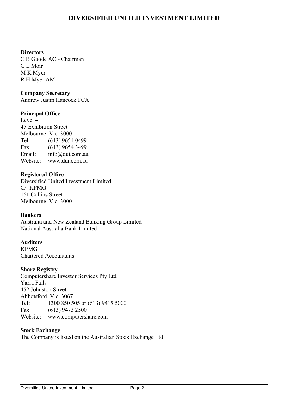#### **Directors**

C B Goode AC - Chairman G E Moir M K Myer R H Myer AM

## **Company Secretary**

Andrew Justin Hancock FCA

## **Principal Office**

Level 4 45 Exhibition Street Melbourne Vic 3000 Tel: (613) 9654 0499 Fax: (613) 9654 3499 Email: info@dui.com.au Website: www.dui.com.au

## **Registered Office**

Diversified United Investment Limited C/- KPMG 161 Collins Street Melbourne Vic 3000

## **Bankers**

Australia and New Zealand Banking Group Limited National Australia Bank Limited

## **Auditors**

KPMG Chartered Accountants

## **Share Registry**

Computershare Investor Services Pty Ltd Yarra Falls 452 Johnston Street Abbotsford Vic 3067 Tel: 1300 850 505 or (613) 9415 5000 Fax: (613) 9473 2500 Website: www.computershare.com

## **Stock Exchange**

The Company is listed on the Australian Stock Exchange Ltd.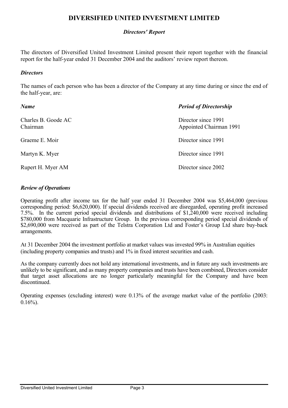## *Directors' Report*

The directors of Diversified United Investment Limited present their report together with the financial report for the half-year ended 31 December 2004 and the auditors' review report thereon.

#### *Directors*

The names of each person who has been a director of the Company at any time during or since the end of the half-year, are:

| Name                            | <b>Period of Directorship</b>                  |
|---------------------------------|------------------------------------------------|
| Charles B. Goode AC<br>Chairman | Director since 1991<br>Appointed Chairman 1991 |
| Graeme E. Moir                  | Director since 1991                            |
| Martyn K. Myer                  | Director since 1991                            |
| Rupert H. Myer AM               | Director since 2002                            |

## *Review of Operations*

Operating profit after income tax for the half year ended 31 December 2004 was \$5,464,000 (previous corresponding period: \$6,620,000). If special dividends received are disregarded, operating profit increased 7.5%. In the current period special dividends and distributions of \$1,240,000 were received including \$780,000 from Macquarie Infrastructure Group. In the previous corresponding period special dividends of \$2,690,000 were received as part of the Telstra Corporation Ltd and Foster's Group Ltd share buy-back arrangements.

At 31 December 2004 the investment portfolio at market values was invested 99% in Australian equities (including property companies and trusts) and 1% in fixed interest securities and cash.

As the company currently does not hold any international investments, and in future any such investments are unlikely to be significant, and as many property companies and trusts have been combined, Directors consider that target asset allocations are no longer particularly meaningful for the Company and have been discontinued.

Operating expenses (excluding interest) were 0.13% of the average market value of the portfolio (2003:  $0.16\%$ ).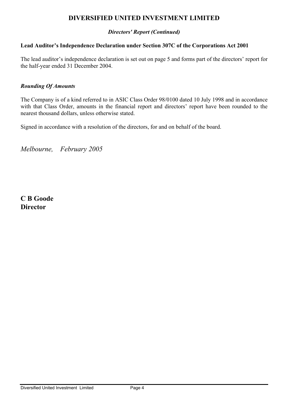## *Directors' Report (Continued)*

## **Lead Auditor's Independence Declaration under Section 307C of the Corporations Act 2001**

The lead auditor's independence declaration is set out on page 5 and forms part of the directors' report for the half-year ended 31 December 2004.

#### *Rounding Of Amounts*

The Company is of a kind referred to in ASIC Class Order 98/0100 dated 10 July 1998 and in accordance with that Class Order, amounts in the financial report and directors' report have been rounded to the nearest thousand dollars, unless otherwise stated.

Signed in accordance with a resolution of the directors, for and on behalf of the board.

*Melbourne, February 2005* 

**C B Goode Director**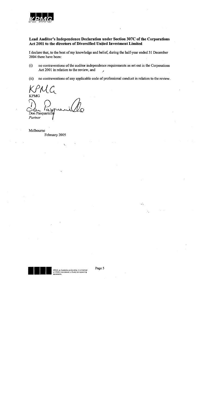

#### Lead Auditor's Independence Declaration under Section 307C of the Corporations Act 2001 to the directors of Diversified United Investment Limited

I declare that, to the best of my knowledge and belief, during the half-year ended 31 December 2004 there have been:

- no contraventions of the auditor independence requirements as set out in the Corporations  $(i)$ Act 2001 in relation to the review, and
- $(ii)$ no contraventions of any applicable code of professional conduct in relation to the review.

**KPMG** Don Pasquariello Partner

Melbourne February 2005



 $\omega_{\rm X}$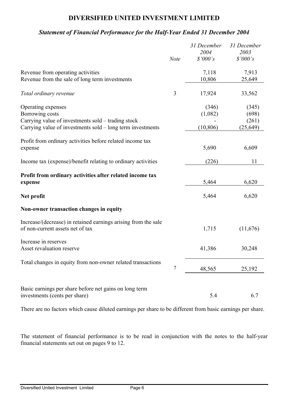## *Statement of Financial Performance for the Half-Year Ended 31 December 2004*

|                                                                                                    |             | 31 December | 31 December |
|----------------------------------------------------------------------------------------------------|-------------|-------------|-------------|
|                                                                                                    |             | 2004        | 2003        |
|                                                                                                    | <b>Note</b> | \$'000's    | \$'000's    |
| Revenue from operating activities                                                                  |             | 7,118       | 7,913       |
| Revenue from the sale of long term investments                                                     |             | 10,806      | 25,649      |
| Total ordinary revenue                                                                             | 3           | 17,924      | 33,562      |
| Operating expenses                                                                                 |             | (346)       | (345)       |
| Borrowing costs                                                                                    |             | (1,082)     | (698)       |
| Carrying value of investments sold – trading stock                                                 |             |             | (261)       |
| Carrying value of investments sold – long term investments                                         |             | (10, 806)   | (25, 649)   |
| Profit from ordinary activities before related income tax                                          |             |             |             |
| expense                                                                                            |             | 5,690       | 6,609       |
| Income tax (expense)/benefit relating to ordinary activities                                       |             | (226)       | 11          |
| Profit from ordinary activities after related income tax<br>expense                                |             | 5,464       | 6,620       |
| Net profit                                                                                         |             | 5,464       | 6,620       |
| Non-owner transaction changes in equity                                                            |             |             |             |
| Increase/(decrease) in retained earnings arising from the sale<br>of non-current assets net of tax |             | 1,715       | (11,676)    |
| Increase in reserves<br>Asset revaluation reserve                                                  |             | 41,386      | 30,248      |
| Total changes in equity from non-owner related transactions                                        | 7           | 48,565      | 25,192      |
|                                                                                                    |             |             |             |
| Basic earnings per share before net gains on long term<br>investments (cents per share)            |             | 5.4         | 6.7         |
|                                                                                                    |             |             |             |

There are no factors which cause diluted earnings per share to be different from basic earnings per share.

The statement of financial performance is to be read in conjunction with the notes to the half-year financial statements set out on pages 9 to 12.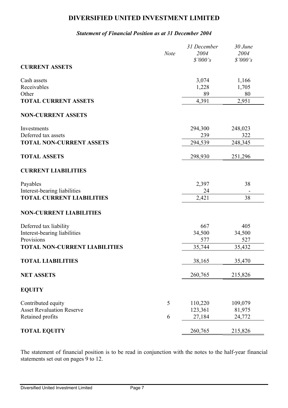#### *Statement of Financial Position as at 31 December 2004*

|                                      | <b>Note</b> | 31 December<br>2004 | 30 June<br>2004 |
|--------------------------------------|-------------|---------------------|-----------------|
|                                      |             | \$'000's            | \$'000's        |
| <b>CURRENT ASSETS</b>                |             |                     |                 |
| Cash assets                          |             | 3,074               | 1,166           |
| Receivables                          |             | 1,228               | 1,705           |
| Other                                |             | 89                  | 80              |
| <b>TOTAL CURRENT ASSETS</b>          |             | 4,391               | 2,951           |
| <b>NON-CURRENT ASSETS</b>            |             |                     |                 |
| Investments                          |             | 294,300             | 248,023         |
| Deferred tax assets                  |             | 239                 | 322             |
| <b>TOTAL NON-CURRENT ASSETS</b>      |             | 294,539             | 248,345         |
| <b>TOTAL ASSETS</b>                  |             | 298,930             | 251,296         |
| <b>CURRENT LIABILITIES</b>           |             |                     |                 |
| Payables                             |             | 2,397               | 38              |
| Interest-bearing liabilities         |             | 24                  |                 |
| <b>TOTAL CURRENT LIABILITIES</b>     |             | 2,421               | 38              |
| <b>NON-CURRENT LIABILITIES</b>       |             |                     |                 |
| Deferred tax liability               |             | 667                 | 405             |
| Interest-bearing liabilities         |             | 34,500              | 34,500          |
| Provisions                           |             | 577                 | 527             |
| <b>TOTAL NON-CURRENT LIABILITIES</b> |             | 35,744              | 35,432          |
| <b>TOTAL LIABILITIES</b>             |             | 38,165              | 35,470          |
| <b>NET ASSETS</b>                    |             | 260,765             | 215,826         |
| <b>EQUITY</b>                        |             |                     |                 |
| Contributed equity                   | 5           | 110,220             | 109,079         |
| <b>Asset Revaluation Reserve</b>     |             | 123,361             | 81,975          |
| Retained profits                     | 6           | 27,184              | 24,772          |
| <b>TOTAL EQUITY</b>                  |             | 260,765             | 215,826         |

The statement of financial position is to be read in conjunction with the notes to the half-year financial statements set out on pages 9 to 12.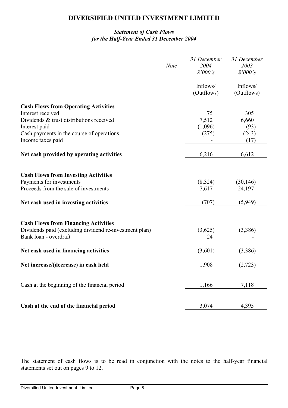## *Statement of Cash Flows for the Half-Year Ended 31 December 2004*

|                                                                                 | <b>Note</b> | 31 December<br>2004<br>\$'000's | 31 December<br>2003<br>\$'000's |
|---------------------------------------------------------------------------------|-------------|---------------------------------|---------------------------------|
|                                                                                 |             | Inflows/<br>(Outflows)          | Inflows/<br>(Outflows)          |
| <b>Cash Flows from Operating Activities</b>                                     |             |                                 |                                 |
| Interest received                                                               |             | 75                              | 305                             |
| Dividends & trust distributions received                                        |             | 7,512                           | 6,660                           |
| Interest paid                                                                   |             | (1,096)                         | (93)                            |
| Cash payments in the course of operations                                       |             | (275)                           | (243)                           |
| Income taxes paid                                                               |             |                                 | (17)                            |
| Net cash provided by operating activities                                       |             | 6,216                           | 6,612                           |
| <b>Cash Flows from Investing Activities</b>                                     |             |                                 |                                 |
| Payments for investments                                                        |             | (8,324)                         | (30, 146)                       |
| Proceeds from the sale of investments                                           |             | 7,617                           | 24,197                          |
| Net cash used in investing activities                                           |             | (707)                           | (5,949)                         |
| <b>Cash Flows from Financing Activities</b>                                     |             |                                 |                                 |
| Dividends paid (excluding dividend re-investment plan)<br>Bank loan - overdraft |             | (3,625)<br>24                   | (3,386)                         |
| Net cash used in financing activities                                           |             | (3,601)                         | (3,386)                         |
| Net increase/(decrease) in cash held                                            |             | 1,908                           | (2,723)                         |
| Cash at the beginning of the financial period                                   |             | 1,166                           | 7,118                           |
| Cash at the end of the financial period                                         |             | 3,074                           | 4,395                           |

The statement of cash flows is to be read in conjunction with the notes to the half-year financial statements set out on pages 9 to 12.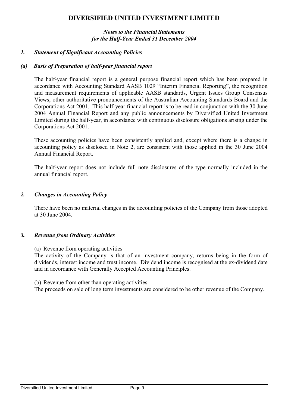#### *Notes to the Financial Statements for the Half-Year Ended 31 December 2004*

## *1. Statement of Significant Accounting Policies*

## *(a) Basis of Preparation of half-year financial report*

The half-year financial report is a general purpose financial report which has been prepared in accordance with Accounting Standard AASB 1029 "Interim Financial Reporting", the recognition and measurement requirements of applicable AASB standards, Urgent Issues Group Consensus Views, other authoritative pronouncements of the Australian Accounting Standards Board and the Corporations Act 2001. This half-year financial report is to be read in conjunction with the 30 June 2004 Annual Financial Report and any public announcements by Diversified United Investment Limited during the half-year, in accordance with continuous disclosure obligations arising under the Corporations Act 2001.

These accounting policies have been consistently applied and, except where there is a change in accounting policy as disclosed in Note 2, are consistent with those applied in the 30 June 2004 Annual Financial Report.

The half-year report does not include full note disclosures of the type normally included in the annual financial report.

#### *2. Changes in Accounting Policy*

There have been no material changes in the accounting policies of the Company from those adopted at 30 June 2004.

#### *3. Revenue from Ordinary Activities*

(a) Revenue from operating activities

The activity of the Company is that of an investment company, returns being in the form of dividends, interest income and trust income. Dividend income is recognised at the ex-dividend date and in accordance with Generally Accepted Accounting Principles.

(b) Revenue from other than operating activities

The proceeds on sale of long term investments are considered to be other revenue of the Company.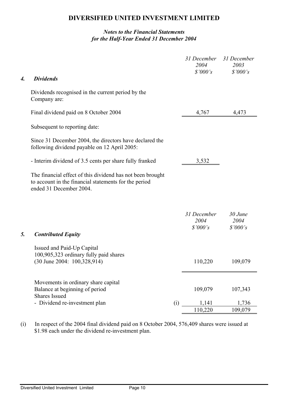## *Notes to the Financial Statements for the Half-Year Ended 31 December 2004*

| 4. | <b>Dividends</b>                                                                                                                               |     | 31 December<br>2004<br>\$'000's | 31 December<br>2003<br>\$'000's |
|----|------------------------------------------------------------------------------------------------------------------------------------------------|-----|---------------------------------|---------------------------------|
|    | Dividends recognised in the current period by the<br>Company are:                                                                              |     |                                 |                                 |
|    | Final dividend paid on 8 October 2004                                                                                                          |     | 4,767                           | 4,473                           |
|    | Subsequent to reporting date:                                                                                                                  |     |                                 |                                 |
|    | Since 31 December 2004, the directors have declared the<br>following dividend payable on 12 April 2005:                                        |     |                                 |                                 |
|    | - Interim dividend of 3.5 cents per share fully franked                                                                                        |     | 3,532                           |                                 |
|    | The financial effect of this dividend has not been brought<br>to account in the financial statements for the period<br>ended 31 December 2004. |     |                                 |                                 |
| 5. | <b>Contributed Equity</b>                                                                                                                      |     | 31 December<br>2004<br>\$'000's | $30$ June<br>2004<br>\$'000's   |
|    | Issued and Paid-Up Capital<br>100,905,323 ordinary fully paid shares<br>$(30$ June 2004: $100,328,914$                                         |     | 110,220                         | 109,079                         |
|    | Movements in ordinary share capital<br>Balance at beginning of period<br><b>Shares Issued</b>                                                  |     | 109,079                         | 107,343                         |
|    | - Dividend re-investment plan                                                                                                                  | (i) | 1,141                           | 1,736                           |
|    |                                                                                                                                                |     | 110,220                         | 109,079                         |

(i) In respect of the 2004 final dividend paid on 8 October 2004, 576,409 shares were issued at \$1.98 each under the dividend re-investment plan.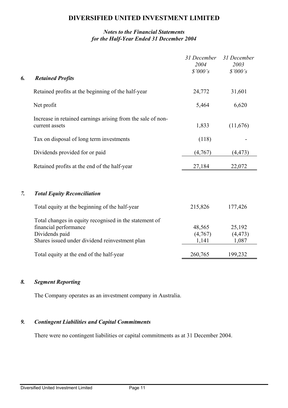## *Notes to the Financial Statements for the Half-Year Ended 31 December 2004*

|    |                                                                                                                                                     | 31 December<br>2004        | 31 December<br>2003         |
|----|-----------------------------------------------------------------------------------------------------------------------------------------------------|----------------------------|-----------------------------|
| 6. | <b>Retained Profits</b>                                                                                                                             | \$'000's                   | \$'000's                    |
|    | Retained profits at the beginning of the half-year                                                                                                  | 24,772                     | 31,601                      |
|    | Net profit                                                                                                                                          | 5,464                      | 6,620                       |
|    | Increase in retained earnings arising from the sale of non-<br>current assets                                                                       | 1,833                      | (11,676)                    |
|    | Tax on disposal of long term investments                                                                                                            | (118)                      |                             |
|    | Dividends provided for or paid                                                                                                                      | (4,767)                    | (4, 473)                    |
|    | Retained profits at the end of the half-year                                                                                                        | 27,184                     | 22,072                      |
| 7. | <b>Total Equity Reconciliation</b>                                                                                                                  |                            |                             |
|    | Total equity at the beginning of the half-year                                                                                                      | 215,826                    | 177,426                     |
|    | Total changes in equity recognised in the statement of<br>financial performance<br>Dividends paid<br>Shares issued under dividend reinvestment plan | 48,565<br>(4,767)<br>1,141 | 25,192<br>(4, 473)<br>1,087 |
|    | Total equity at the end of the half-year                                                                                                            | 260,765                    | 199,232                     |

## *8. Segment Reporting*

The Company operates as an investment company in Australia.

## *9. Contingent Liabilities and Capital Commitments*

There were no contingent liabilities or capital commitments as at 31 December 2004.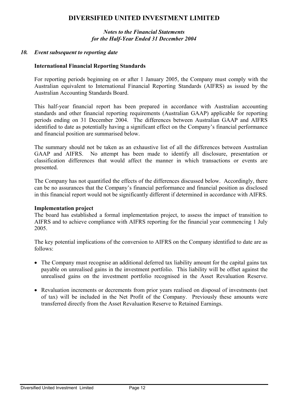#### *Notes to the Financial Statements for the Half-Year Ended 31 December 2004*

#### *10. Event subsequent to reporting date*

#### **International Financial Reporting Standards**

For reporting periods beginning on or after 1 January 2005, the Company must comply with the Australian equivalent to International Financial Reporting Standards (AIFRS) as issued by the Australian Accounting Standards Board.

This half-year financial report has been prepared in accordance with Australian accounting standards and other financial reporting requirements (Australian GAAP) applicable for reporting periods ending on 31 December 2004. The differences between Australian GAAP and AIFRS identified to date as potentially having a significant effect on the Company's financial performance and financial position are summarised below.

The summary should not be taken as an exhaustive list of all the differences between Australian GAAP and AIFRS. No attempt has been made to identify all disclosure, presentation or classification differences that would affect the manner in which transactions or events are presented.

The Company has not quantified the effects of the differences discussed below. Accordingly, there can be no assurances that the Company's financial performance and financial position as disclosed in this financial report would not be significantly different if determined in accordance with AIFRS.

#### **Implementation project**

The board has established a formal implementation project, to assess the impact of transition to AIFRS and to achieve compliance with AIFRS reporting for the financial year commencing 1 July 2005.

The key potential implications of the conversion to AIFRS on the Company identified to date are as follows:

- The Company must recognise an additional deferred tax liability amount for the capital gains tax payable on unrealised gains in the investment portfolio. This liability will be offset against the unrealised gains on the investment portfolio recognised in the Asset Revaluation Reserve.
- Revaluation increments or decrements from prior years realised on disposal of investments (net of tax) will be included in the Net Profit of the Company. Previously these amounts were transferred directly from the Asset Revaluation Reserve to Retained Earnings.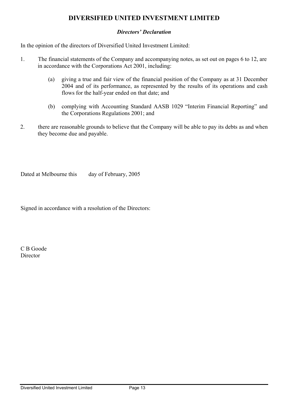## *Directors' Declaration*

In the opinion of the directors of Diversified United Investment Limited:

- 1. The financial statements of the Company and accompanying notes, as set out on pages 6 to 12, are in accordance with the Corporations Act 2001, including:
	- (a) giving a true and fair view of the financial position of the Company as at 31 December 2004 and of its performance, as represented by the results of its operations and cash flows for the half-year ended on that date; and
	- (b) complying with Accounting Standard AASB 1029 "Interim Financial Reporting" and the Corporations Regulations 2001; and
- 2. there are reasonable grounds to believe that the Company will be able to pay its debts as and when they become due and payable.

Dated at Melbourne this day of February, 2005

Signed in accordance with a resolution of the Directors:

C B Goode Director